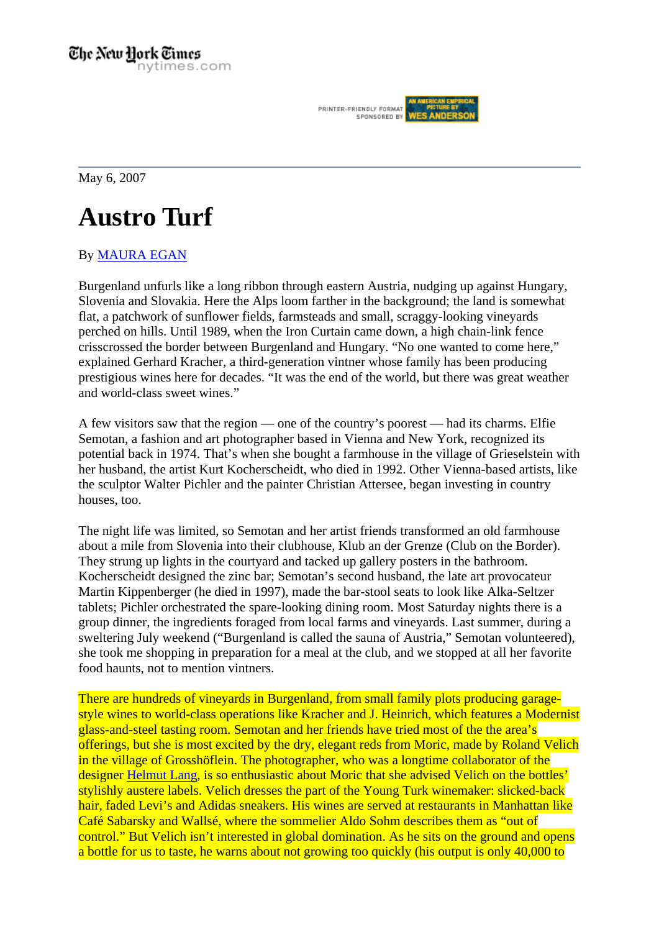PRINTER-FRIENDLY FORMAT SPONSORED BY

May 6, 2007

## **Austro Turf**

## By MAURA EGAN

Burgenland unfurls like a long ribbon through eastern Austria, nudging up against Hungary, Slovenia and Slovakia. Here the Alps loom farther in the background; the land is somewhat flat, a patchwork of sunflower fields, farmsteads and small, scraggy-looking vineyards perched on hills. Until 1989, when the Iron Curtain came down, a high chain-link fence crisscrossed the border between Burgenland and Hungary. "No one wanted to come here," explained Gerhard Kracher, a third-generation vintner whose family has been producing prestigious wines here for decades. "It was the end of the world, but there was great weather and world-class sweet wines."

A few visitors saw that the region — one of the country's poorest — had its charms. Elfie Semotan, a fashion and art photographer based in Vienna and New York, recognized its potential back in 1974. That's when she bought a farmhouse in the village of Grieselstein with her husband, the artist Kurt Kocherscheidt, who died in 1992. Other Vienna-based artists, like the sculptor Walter Pichler and the painter Christian Attersee, began investing in country houses, too.

The night life was limited, so Semotan and her artist friends transformed an old farmhouse about a mile from Slovenia into their clubhouse, Klub an der Grenze (Club on the Border). They strung up lights in the courtyard and tacked up gallery posters in the bathroom. Kocherscheidt designed the zinc bar; Semotan's second husband, the late art provocateur Martin Kippenberger (he died in 1997), made the bar-stool seats to look like Alka-Seltzer tablets; Pichler orchestrated the spare-looking dining room. Most Saturday nights there is a group dinner, the ingredients foraged from local farms and vineyards. Last summer, during a sweltering July weekend ("Burgenland is called the sauna of Austria," Semotan volunteered), she took me shopping in preparation for a meal at the club, and we stopped at all her favorite food haunts, not to mention vintners.

There are hundreds of vineyards in Burgenland, from small family plots producing garagestyle wines to world-class operations like Kracher and J. Heinrich, which features a Modernist glass-and-steel tasting room. Semotan and her friends have tried most of the the area's offerings, but she is most excited by the dry, elegant reds from Moric, made by Roland Velich in the village of Grosshöflein. The photographer, who was a longtime collaborator of the designer Helmut Lang, is so enthusiastic about Moric that she advised Velich on the bottles' stylishly austere labels. Velich dresses the part of the Young Turk winemaker: slicked-back hair, faded Levi's and Adidas sneakers. His wines are served at restaurants in Manhattan like Café Sabarsky and Wallsé, where the sommelier Aldo Sohm describes them as "out of control." But Velich isn't interested in global domination. As he sits on the ground and opens a bottle for us to taste, he warns about not growing too quickly (his output is only 40,000 to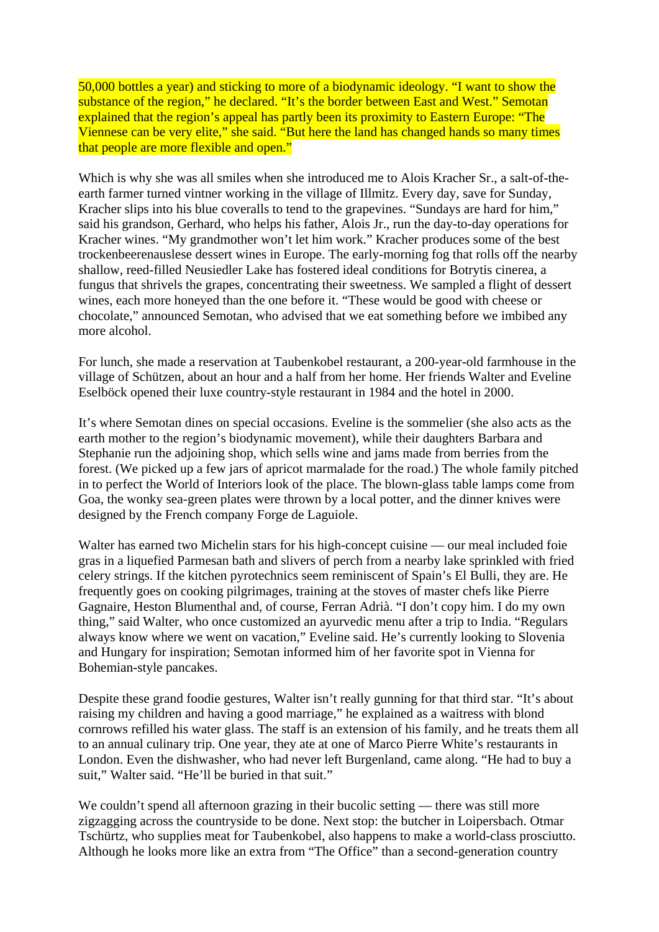50,000 bottles a year) and sticking to more of a biodynamic ideology. "I want to show the substance of the region," he declared. "It's the border between East and West." Semotan explained that the region's appeal has partly been its proximity to Eastern Europe: "The Viennese can be very elite," she said. "But here the land has changed hands so many times that people are more flexible and open."

Which is why she was all smiles when she introduced me to Alois Kracher Sr., a salt-of-theearth farmer turned vintner working in the village of Illmitz. Every day, save for Sunday, Kracher slips into his blue coveralls to tend to the grapevines. "Sundays are hard for him," said his grandson, Gerhard, who helps his father, Alois Jr., run the day-to-day operations for Kracher wines. "My grandmother won't let him work." Kracher produces some of the best trockenbeerenauslese dessert wines in Europe. The early-morning fog that rolls off the nearby shallow, reed-filled Neusiedler Lake has fostered ideal conditions for Botrytis cinerea, a fungus that shrivels the grapes, concentrating their sweetness. We sampled a flight of dessert wines, each more honeyed than the one before it. "These would be good with cheese or chocolate," announced Semotan, who advised that we eat something before we imbibed any more alcohol.

For lunch, she made a reservation at Taubenkobel restaurant, a 200-year-old farmhouse in the village of Schützen, about an hour and a half from her home. Her friends Walter and Eveline Eselböck opened their luxe country-style restaurant in 1984 and the hotel in 2000.

It's where Semotan dines on special occasions. Eveline is the sommelier (she also acts as the earth mother to the region's biodynamic movement), while their daughters Barbara and Stephanie run the adjoining shop, which sells wine and jams made from berries from the forest. (We picked up a few jars of apricot marmalade for the road.) The whole family pitched in to perfect the World of Interiors look of the place. The blown-glass table lamps come from Goa, the wonky sea-green plates were thrown by a local potter, and the dinner knives were designed by the French company Forge de Laguiole.

Walter has earned two Michelin stars for his high-concept cuisine — our meal included foie gras in a liquefied Parmesan bath and slivers of perch from a nearby lake sprinkled with fried celery strings. If the kitchen pyrotechnics seem reminiscent of Spain's El Bulli, they are. He frequently goes on cooking pilgrimages, training at the stoves of master chefs like Pierre Gagnaire, Heston Blumenthal and, of course, Ferran Adrià. "I don't copy him. I do my own thing," said Walter, who once customized an ayurvedic menu after a trip to India. "Regulars always know where we went on vacation," Eveline said. He's currently looking to Slovenia and Hungary for inspiration; Semotan informed him of her favorite spot in Vienna for Bohemian-style pancakes.

Despite these grand foodie gestures, Walter isn't really gunning for that third star. "It's about raising my children and having a good marriage," he explained as a waitress with blond cornrows refilled his water glass. The staff is an extension of his family, and he treats them all to an annual culinary trip. One year, they ate at one of Marco Pierre White's restaurants in London. Even the dishwasher, who had never left Burgenland, came along. "He had to buy a suit," Walter said. "He'll be buried in that suit."

We couldn't spend all afternoon grazing in their bucolic setting — there was still more zigzagging across the countryside to be done. Next stop: the butcher in Loipersbach. Otmar Tschürtz, who supplies meat for Taubenkobel, also happens to make a world-class prosciutto. Although he looks more like an extra from "The Office" than a second-generation country